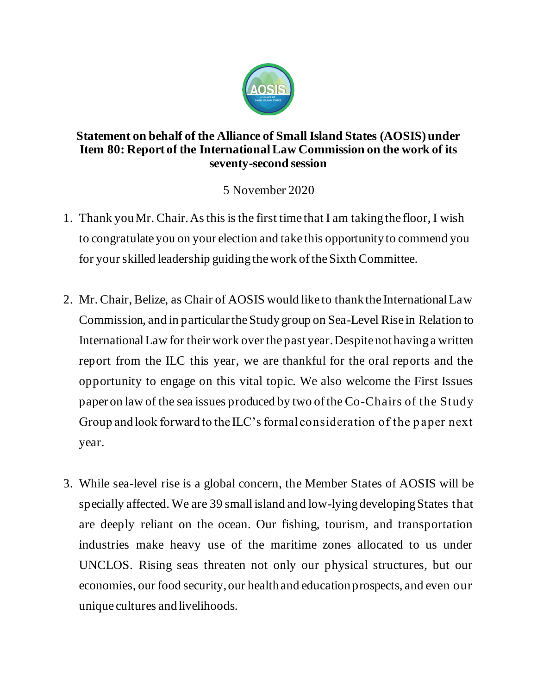

## **Statement on behalf of the Alliance of Small Island States (AOSIS) under Item 80: Report of the International Law Commission on the work of its seventy-second session**

5 November 2020

- 1. Thank you Mr. Chair. As this is the first time that I am taking the floor, I wish to congratulate you on your election and take this opportunity to commend you for your skilled leadership guiding the work of the Sixth Committee.
- 2. Mr. Chair, Belize, as Chair of AOSIS would like to thank the International Law Commission, and in particular the Study group on Sea-Level Rise in Relation to International Law for their work over the past year. Despite not having a written report from the ILC this year, we are thankful for the oral reports and the opportunity to engage on this vital topic. We also welcome the First Issues paper on law of the sea issues produced by two of the Co-Chairs of the Study Group and look forward to the ILC's formal consideration of the p aper next year.
- 3. While sea-level rise is a global concern, the Member States of AOSIS will be specially affected. We are 39 small island and low-lying developing States that are deeply reliant on the ocean. Our fishing, tourism, and transportation industries make heavy use of the maritime zones allocated to us under UNCLOS. Rising seas threaten not only our physical structures, but our economies, our food security, our health and education prospects, and even our unique cultures and livelihoods.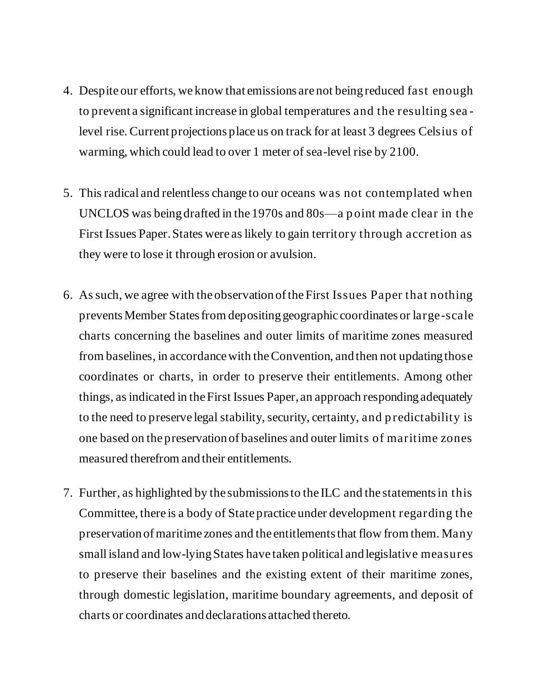- 4. Despite our efforts, we know that emissions are not being reduced fast enough to prevent a significant increase in global temperatures and the resulting sea level rise. Current projections place us on track for at least 3 degrees Celsius of warming, which could lead to over 1 meter of sea-level rise by 2100.
- 5. This radical and relentless change to our oceans was not contemplated when UNCLOS was being drafted in the 1970s and 80s—a p oint made clear in the First Issues Paper. States were as likely to gain territory through accretion as they were to lose it through erosion or avulsion.
- 6. As such, we agree with the observation of the First Issues Paper that nothing prevents Member States from depositing geographic coordinates or large-scale charts concerning the baselines and outer limits of maritime zones measured from baselines, in accordance with the Convention, and then not updating those coordinates or charts, in order to preserve their entitlements. Among other things, as indicated in the First Issues Paper, an approach responding adequately to the need to preserve legal stability, security, certainty, and p redictability is one based on the preservation of baselines and outer limits of maritime zones measured therefrom and their entitlements.
- 7. Further, as highlighted by the submissions to the ILC and the statements in this Committee, there is a body of State practice under development regarding the preservation of maritime zones and the entitlements that flow from them. Many small island and low-lying States have taken political and legislative measures to preserve their baselines and the existing extent of their maritime zones, through domestic legislation, maritime boundary agreements, and deposit of charts or coordinates and declarations attached thereto.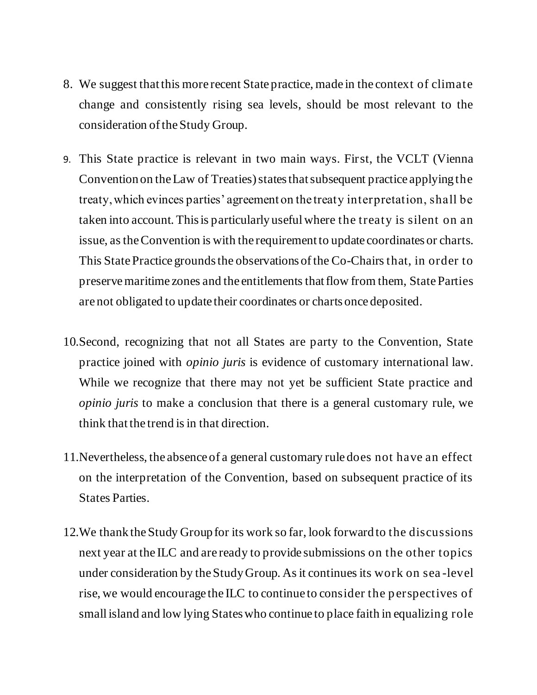- 8. We suggest that this more recent State practice, made in the context of climate change and consistently rising sea levels, should be most relevant to the consideration of the Study Group.
- 9. This State practice is relevant in two main ways. First, the VCLT (Vienna Convention on the Law of Treaties) states that subsequent practice applying the treaty, which evinces parties' agreement on the treaty interpretation, shall be taken into account. This is particularly useful where the treaty is silent on an issue, as the Convention is with the requirement to update coordinates or charts. This State Practice grounds the observations of the Co-Chairsthat, in order to preserve maritime zones and the entitlements that flow from them, State Parties are not obligated to update their coordinates or charts once deposited.
- 10.Second, recognizing that not all States are party to the Convention, State practice joined with *opinio juris* is evidence of customary international law. While we recognize that there may not yet be sufficient State practice and *opinio juris* to make a conclusion that there is a general customary rule, we think that the trend is in that direction.
- 11.Nevertheless, the absence of a general customary rule does not have an effect on the interpretation of the Convention, based on subsequent practice of its States Parties.
- 12.We thank the Study Group for its work so far, look forward to the discussions next year at the ILC and are ready to provide submissions on the other topics under consideration by the Study Group. As it continues its work on sea -level rise, we would encourage the ILC to continue to consider the p erspectives of small island and low lying States who continue to place faith in equalizing role